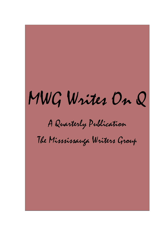# MWG Writes On Q

A Quarterly Publication

The Misssissauga Writers Group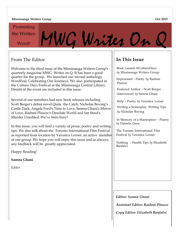#### **Mississauga Writers Group**

the Written Promoting

 $\mathbb{P}^{\text{\tiny{Written}}}$ MWG Writes On

### From The Editor

Welcome to the third issue of the Mississauga Writers Group's quarterly magazine MWG Writes on Q. It has been a good quarter for the group. We launched our second anthology WordFest, Celebrating Our Journeys. We also participated in the Culture Days Festival at the Mississauga Central Library. Details of the event are included in this issue.

Several of our members had new book releases including Scott Berger's debut novel Quite the Catch, Nicholas Boving's Castle Dark, Angela Ford's Time to Love, Samna Ghani's Mirror of Love, Rashmi Pluscec's Desolate World and Ian Stout's Murder Unedited. We've been busy!

In this issue, you will find a variety of prose, poetry and writing tips. We also talk about the Toronto International Film Festival as reported from location by Veronica Lerner, an active member of our group. We hope you will enjoy this issue and as always, any feedback will be greatly appreciated.

Happy Reading!

**Samna Ghani** 

*Editor*

## **In This Issue**

Book Launch [@CultureDays](mailto:@CultureDays) *by* Mississauga Writers Group

Imprisoned - Poetry *by* Rashmi Pluscec

Featured Author – Scott Berger interviewed *by* Samna Ghani

Help – Poetry *by* Veronica Lerner

Writing a Screenplay. Writing Tips *by* Nicholas Boving

In Memory of a Masterpiece – Poetry *by* Daniela Oana

The Toronto International Film Festival *by* Veronica Lerner

Nothing – Health Tips *by* Elizabeth Banfalvi

*Editor: Samna Ghani*

*Assistant Editor: Rashmi Pluscec*

*Copy Editor: Elizabeth Banfalvi*

#### **Oct 2015**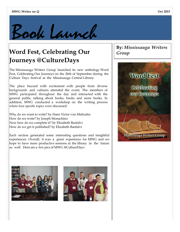

## **Word Fest, Celebrating Our Journeys [@CultureDays](mailto:@CultureDays)**

The Mississauga Writers Group launched its new anthology Word Fest, Celebrating Our Journeys on the 26th of September during the Culture Days festival at the Mississauga Central Library.

The place buzzed with excitement with people from diverse backgrounds and cultures attended the event. The members of MWG participated throughout the day and interacted with the general public, talking about books, books and more books. In addition, MWG conducted a workshop on the writing process where four specific topics were discussed:

Why do we want to write? by Hans Victor von Maltzahn How do we write? by Joseph Monachino Now how do we complete it? by Elizabeth Banfalvi How do we get it published? by Elizabeth Banfalvi

Each section generated some interesting questions and insightful experiences. Overall, it was a great experience for MWG and we hope to have more productive sessions at the library in the future as well. Here are a few pics of MWG @CultureDays







.

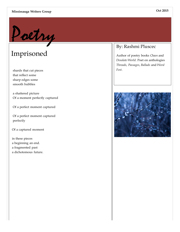#### **Mississauga Writers Group**



# Imprisoned

shards that cut pieces that reflect some sharp edges some smooth bubbles

a shattered picture Of a moment perfectly captured

Of a perfect moment captured

Of a perfect moment captured perfectly

Of a captured moment

in these pieces a beginning an end. a fragmented past a dichotomous future.

## By: Rashmi Pluscec

Author of poetry books *Chaos* and *Desolate World*. Poet on anthologies *Threads*, *Passages*, *Ballads* and *Word Fest*.

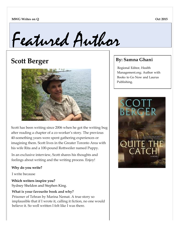

# **Scott Berger**



Scott has been writing since 2006 when he got the writing bug after reading a chapter of a co-worker's story. The previous 40-something years were spent gathering experiences or imagining them. Scott lives in the Greater Toronto Area with his wife Rita and a 100-pound Rottweiler named Puppy.

In an exclusive interview, Scott shares his thoughts and feelings about writing and the writing process. Enjoy!

### **Why do you write?**

I write because

**Which writers inspire you?** Sydney Sheldon and Stephen King.

### **What is your favourite book and why?**

Prisoner of Tehran by Marina Nemat. A true story so implausible that if I wrote it, calling it fiction, no one would believe it. So well written I felt like I was there.

## **By: Samna Ghani**

Regional Editor, Health Management.org; Author with Books to Go Now and Laurus Publishing.

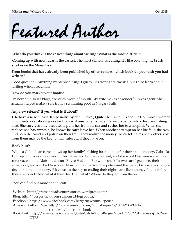

#### **What do you think is the easiest thing about writing? What is the most difficult?**

Coming up with new ideas is the easiest. The most difficult is editing. It's like counting the brush strokes on the Mona Lisa.

**From books that have already been published by other authors, which book do you wish you had written?**

Good question! Anything by Stephen King, I guess. His stories are classics, but I also learn about writing when I read him.

#### **How do you market your books?**

I'm new at it, so it's blogs, websites, word of mouth. My wife makes a wonderful press agent. She actually helped make a sale from a swimming pool in Niagara Falls!

#### **Any new release? If yes, what is it about?**

I do have a new release. It's actually my debut novel, Quite The Catch. It's about a Columbian woman who meets a vacationing doctor from Alabama when a cartel blows up her family's deep sea fishing boat. She survives only because he pulls her from the sea and rushes her to a hospital. When she realizes she has amnesia, he knows he can't leave her. When another attempt on her life fails, the two find both the cartel and police on their trail. They realize the money the cartel claims her brother stole from them may be the key to their future ... if they have one.

### **Book blurb**

When a Colombian cartel blows up her family's fishing boat looking for their stolen money, Gabriela Concepción faces a new world. Her father and brother are dead, and she would've been were it not for a vacationing Alabama doctor, Royce Haddon. But when she kills two cartel gunmen, their situation goes from bad to worse. Now on the run from the police and the cartel, Gabriela and Royce decide the stolen money, if it exists, is the key to ending their nightmare. But can they find it before they are found? And what if they do? Then what? Where do they go from there?

You can find out more about Scott:

Website: https://romanticadventurestories.wordpress.com[/](http://berger-new-rom-suspense.blogspot.ca/) [Blog: http://berger-new-rom-suspense.blogspot.ca/](http://berger-new-rom-suspense.blogspot.ca/) [Facebook: https://www.facebook.com/bergernewromsuspense](http://www.facebook.com/bergernewromsuspense) Amazon Author Page: <http://www.amazon.com/Scott-Berger/e/B014YXWDT4/> ref=dp\_byline\_cont\_ebooks\_1 Book Link: [http://www.amazon.com/Quite-Catch-Scott-Berger/dp/1517303281/ref=asap](http://www.amazon.com/Quite-Catch-Scott-Berger/dp/1517303281/ref)\_bc?ie= UTF8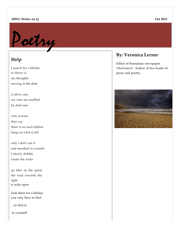#### **MWG Writes on Q**



## **Help**

I search for a lifeline to throw it my thoughts moving in the dark

is all in vain my cries are muffled by deaf ears

why scream they say there is no such lifeline hang on what is left

only I don't see it and smashed to crumbs I slowly dribble under the rocks

go then on the spiral the road towards the light is wide open

look there for a lifeline you only have to find

...to find it..

in yourself

### **By: Veronica Lerner**

Editor of Romanian newspaper *Observatorul*. Author of five books of prose and poetry.

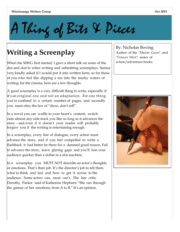A Thing of Bits & Pieces

# **Writing a Screenplay**

When the MWG first started, I gave a short talk on some of the dos and don'ts when writing and submitting screenplays. Samna very kindly asked if I would put it into written form, so for those of you who feel like dipping a toe into the murky waters of writing for the cinema, here are a few thoughts.

A good screenplay is a very difficult thing to write, especially if it's an original one and not an adaptation. For one thing you're confined to a certain number of pages, and secondly you must obey the law of "show, don't tell".

In a novel you can waffle to your heart's content, switch onto almost any side-track you like so long as it advances the story – and even if it doesn't your reader will probably forgive you if the writing is entertaining enough.

In a screenplay, every line of dialogue, every action must advance the story, and if you feel compelled to write a flashback it had better be there for a damned good reason. Fail to advance the story, leave glaring gaps and you'll lose your audience quicker than a dollar in a slot machine.

In a screenplay you MUST NOT describe an actor's thoughts or emotions. That's their job. It's the director's job to tell them what to think and feel and how to get it across to the audience. Some actors can, most can't. The late critic Dorothy Parker said of Katherine Hepburn "She ran through the gamut of her emotions, from A to B." It's an opinion.

By: Nicholas Boving Author of the "*Maxim Gunn*" and "*Frances West"* series of action/adventure books.

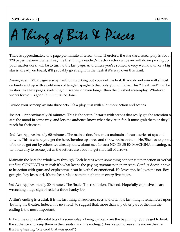#### **MWG Writes on Q**

**Oct 2015**

# A Thing of Bits & Pieces

There is approximately one page per minute of screen time. Therefore, the standard screenplay is about 120 pages. Believe it when I say the first thing a reader/director/actor/whoever will do on picking up your masterwork, will be to turn to the last page. And unless you're someone very well known or a big star is already on board, it'll probably go straight in the trash if it's way over this limit.

Never, ever, EVER begin a script without working out your outline first. If you do not you will almost certainly end up with a cold mass of tangled spaghetti that only you will love. This "Treatment" can be as short as a few pages, sketching out scenes, or even longer than the finished screenplay. Whatever works for you is good, but it must be done.

Divide your screenplay into three acts. It's a play, just with a lot more action and scenes.

1st Act – Approximately 30 minutes. This is the setup. It starts with scenes that really get the attention or sets the mood in some way, and lets the audience know what they're in for. It must grab them or they'll reach for their coats.

2nd Act. Approximately 60 minutes. The main action. You must maintain a beat; a series of ups and downs. This is where you get the hero/heroine up a tree and throw rocks at them. He/She has to get out of it, or be got out by others we already know about (see 1st act) NO DEUS EX MACHINA, meaning, no tenth cavalry to rescue just as the settlers are about to get shot full of arrows.

Maintain the beat the whole way through. Each beat is when something happens: either action or verbal conflict. CONFLICT is crucial: it's what keeps the paying customers in their seats. Conflict doesn't have to be action with guns and explosions; it can be verbal or emotional. He loves me, he loves me not. Boy gets girl, boy loses girl. It's the beat. Make something happen every five pages.

3rd Act. Approximately 30 minutes. The finale. The resolution. The end. Hopefully explosive, heart wrenching, huge sigh of relief, a three-hanky job.

A film's ending is crucial. It is the last thing an audience sees and often the last thing it remembers upon leaving the theatre. Indeed, it's no stretch to suggest that, more than any other part of the film the ending is the most important.

In fact, the only really vital bits of a screenplay – being cynical – are the beginning (you've got to hook the audience and keep them in their seats), and the ending. (They've got to leave the movie theatre thinking/saying "My God that was good")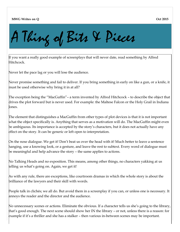#### **MWG Writes on Q**

# A Thing of Bits & Pieces

If you want a really good example of screenplays that will never date, read something by Alfred Hitchcock.

Never let the pace lag or you will lose the audience.

Never promise something and fail to deliver. If you bring something in early on like a gun, or a knife, it must be used otherwise why bring it in at all?

The exception being the "MacGuffin"– a term invented by Alfred Hitchcock – to describe the object that drives the plot forward but is never used. For example: the Maltese Falcon or the Holy Grail in Indiana Iones.

The element that distinguishes a MacGuffin from other types of plot devices is that it is not important what the object specifically is. Anything that serves as a motivation will do. The MacGuffin might even be ambiguous. Its importance is accepted by the story's characters, but it does not actually have any effect on the story. It can be generic or left open to interpretation.

On the nose dialogue. We get it! Don't beat us over the head with it! Much better to leave a sentence hanging, use a knowing look, or a gesture, and leave the rest to subtext. Every word of dialogue must be meaningful and help advance the story – the same applies to actions.

No Talking Heads and no exposition. This means, among other things, no characters yakking at us telling us what's going on. Again, we get it!

As with any rule, there are exceptions, like courtroom dramas in which the whole story is about the brilliance of the lawyers and their skill with words.

People talk in clichés; we all do. But avoid them in a screenplay if you can, or unless one is necessary. It annoys the reader and the director and the audience.

No unnecessary scenes or actions. Eliminate the obvious. If a character tells us she's going to the library, that's good enough. The next scene should show her IN the library – or not, unless there is a reason: for example if it's a thriller and she has a stalker – then various in-between scenes may be important.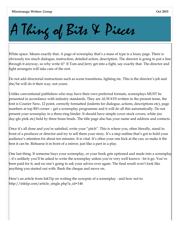# A Thing of Bits & Pieces

White space. Means exactly that. A page of screenplay that's a mass of type is a lousy page. There is obviously too much dialogue, instruction, detailed action, description. The director is going to put a line through it anyway, so why write it? If Tom and Jerry get into a fight, say exactly that. The director and fight arrangers will take care of the rest.

Do not add directorial instructions such as scene transitions, lighting etc. This is the director's job and she/he will do it their way, not yours.

Unlike conventional publishers who may have their own preferred formats, screenplays MUST be presented in accordance with industry standards. They are ALWAYS written in the present tense, the font is Courier New, 12 point, correctly formatted (indents for dialogue, actions, descriptions etc), page numbers at top RH corner – get a screenplay programme and it will do all this automatically. Do not present your screenplay in a three-ring binder. It should have simple cover stock covers, white (no day-glo pink etc) held by three brass brads. The title page also has your name and address and contacts.

Once it's all done and you're satisfied, write your "pitch". This is where you, often literally, stand in front of a producer or director and try to sell them your story. It's a step outline that's got to hold your audience's attention for about ten minutes. It is vital. It's often your one kick at the can, so make it the best it can be. Rehearse it in front of a mirror, just like a part in a play.

One last thing. If someone buys your screenplay, or your book gets optioned and made into a screenplay – it's unlikely you'll be asked to write the screenplay unless you're very well known - let it go. You've been paid for it, and no one's going to ask your advice ever again. The final result won't look like anything you started out with. Bank the cheque and move on.

Here's an article from InkTip on writing the synopsis of a screenplay - and how not to[.](http://inktip.com/article_single.php) http://inktip.com/article\_single.php?a\_id=146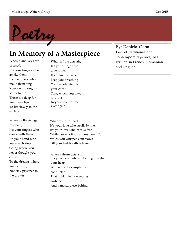

# **In Memory of a Masterpiece**

When piano keys are pressed, It's your fingers who awake them. It's them, too, who make them sing Your own thoughts softly to me Those too deep for your own lips To lift slowly to the surface

When violin strings resonate, It's your fingers who dance with them. It's your hand who leads each step, Going where you never thought you could To the dreams where you can run, Not stay prisoner to the grown

When a flute gets air, It's your lungs who give it life. It's them, too, who keep you breathing Your whole life into your chest That, which you have brought In your wound-free eyes again

When your lips part It's your love who strolls by me. It's your love who breaks free While serenading at my ear To which you whisper your vows Till your last breath is taken

When a drum gets a hit, It's your heart who's hit along. It's also your heart Who ends the symphony conducted That, which left a weeping audience And a masterpiece behind

By: Daniela Oana Poet of traditional and contemporary genres; has written in French, Romanian and English.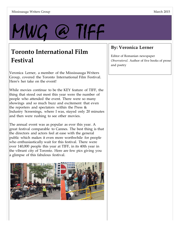# MWG @ TIFF

## **Toronto International Film Festival**

Veronica Lerner, a member of the Mississauga Writers Group, covered the Toronto International Film Festival. Here's her take on the event!

While movies continue to be the KEY feature of TIFF, the thing that stood out most this year were the number of people who attended the event. There were so many showings and so much buzz and excitement that even the reporters and spectators within the Press & Industry Screenings, where I was, stayed only 20 minutes and then were rushing to see other movies.

The annual event was as popular as ever this year. A great festival comparable to Cannes. The best thing is that the directors and actors feel at ease with the general public which makes it even more worthwhile for people who enthusiastically wait for this festival. There were over 140,000 people this year at TIFF, in its 40th year in the vibrant city of Toronto. Here are few pics giving you a glimpse of this fabulous festival.



## **By: Veronica Lerner**

Editor of Romanian newspaper *Observatorul*. Author of five books of prose and poetry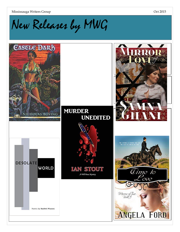Mississauga Writers Group

# New Releases by MWG

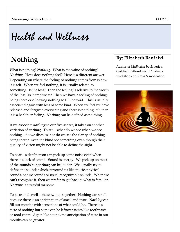Health and Wellness

# **Nothing**

What is nothing? *Nothing*. What is the value of nothing? *Nothing*. How does nothing feel? Here is a different answer. Depending on where the feeling of nothing comes from is how it is felt. When we feel nothing, it is usually related to something. Is it a loss? Then the feeling is relative to the worth of the loss. Is it emptiness? Then we have a feeling of nothing being there or of having nothing to fill the void. This is usually associated again with loss of some kind. When we feel we have released and forgiven everything and there is nothing left, then it is a healthier feeling. *Nothing* can be defined as no-thing.

If we associate *nothing* to our five senses, it takes on another variation of *nothing*. To see – what do we see when we see nothing – do we dismiss it or do we see the clarity of nothing being there? Even the blind see something even though their quality of vision might not be able to define the sight.

To hear – a deaf person can pick up some noise even when there is a lack of sound. Sound is energy. We pick up on most of the sounds but *nothing* can be louder. We usually try to define the sounds which surround us like music, physical sounds, nature sounds or usual recognizable sounds. When we can't recognize it, then we prefer to get back to what is familiar. *Nothing* is stressful for some.

To taste and smell – these two go together. Nothing can smell because there is an anticipation of smell and taste. *Nothing* can fill our mouths with sensations of what could be. There is a taste of nothing but some can be leftover tastes like toothpaste or food eaten. Again like sound, the anticipation of taste in our mouths can be greater.

## **By: Elizabeth Banfalvi**

Author of *Meditation* book series. Certified Reflexologist. Conducts workshops on stress & meditation.